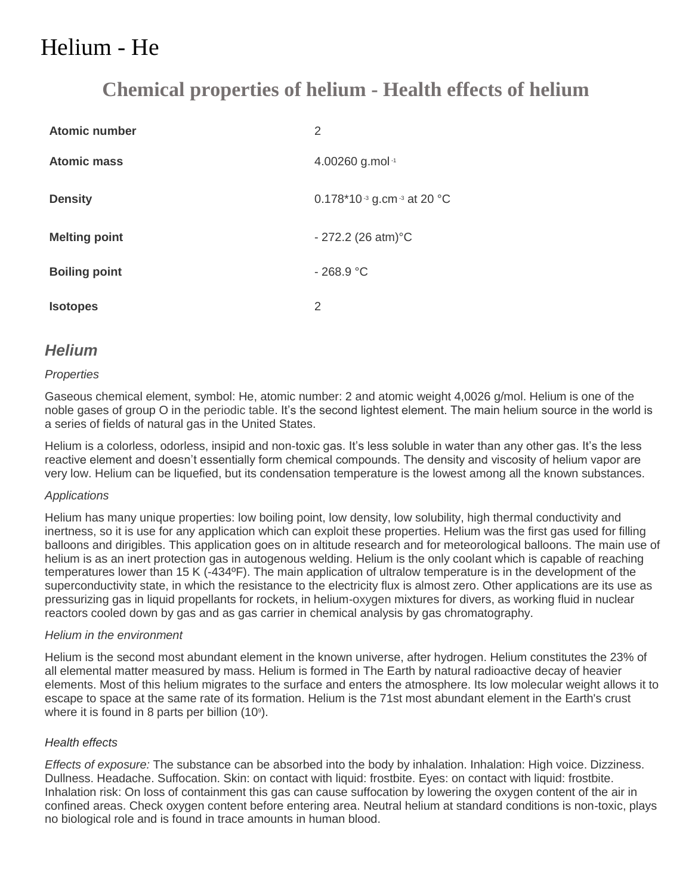# Helium - He

# **[Chemical properties of helium](http://www.lenntech.com/Periodic-chart-elements/He-en.htm#Helium) - [Health effects of helium](http://www.lenntech.com/Periodic-chart-elements/He-en.htm#Health%20effects%20of%20helium)**

| Atomic number        | 2                                        |
|----------------------|------------------------------------------|
| <b>Atomic mass</b>   | 4.00260 g.mol-1                          |
| <b>Density</b>       | 0.178*10 $3$ g.cm $3$ at 20 $^{\circ}$ C |
| <b>Melting point</b> | $-272.2$ (26 atm) $^{\circ}$ C           |
| <b>Boiling point</b> | $-268.9 °C$                              |
| <b>Isotopes</b>      | 2                                        |

# *Helium*

#### *Properties*

Gaseous chemical element, symbol: He, atomic number: 2 and atomic weight 4,0026 g/mol. Helium is one of the noble gases of group O in the [periodic table.](http://www.lenntech.com/periodic-chart.htm) It's the second lightest element. The main helium source in the world is a series of fields of natural gas in the United States.

Helium is a colorless, odorless, insipid and non-toxic gas. It's less soluble in water than any other gas. It's the less reactive element and doesn't essentially form chemical compounds. The density and viscosity of helium vapor are very low. Helium can be liquefied, but its condensation temperature is the lowest among all the known substances.

#### *Applications*

Helium has many unique properties: low boiling point, low density, low solubility, high thermal conductivity and inertness, so it is use for any application which can exploit these properties. Helium was the first gas used for filling balloons and dirigibles. This application goes on in altitude research and for meteorological balloons. The main use of helium is as an inert protection gas in autogenous welding. Helium is the only coolant which is capable of reaching temperatures lower than 15 K (-434ºF). The main application of ultralow temperature is in the development of the superconductivity state, in which the resistance to the electricity flux is almost zero. Other applications are its use as pressurizing gas in liquid propellants for rockets, in helium[-oxygen](http://www.lenntech.com/Periodic-chart-elements/O-en.htm) mixtures for divers, as working fluid in nuclear reactors cooled down by gas and as gas carrier in chemical analysis by gas chromatography.

#### *Helium in the environment*

Helium is the second most abundant element in the known universe, after hydrogen. Helium constitutes the 23% of all elemental matter measured by mass. Helium is formed in The Earth by natural radioactive decay of heavier elements. Most of this helium migrates to the surface and enters the atmosphere. Its low molecular weight allows it to escape to space at the same rate of its formation. Helium is the 71st most abundant element in the Earth's crust where it is found in 8 parts per billion  $(10<sup>9</sup>)$ .

#### *Health effects*

*Effects of exposure:* The substance can be absorbed into the body by inhalation. Inhalation: High voice. Dizziness. Dullness. Headache. Suffocation. Skin: on contact with liquid: frostbite. Eyes: on contact with liquid: frostbite. Inhalation risk: On loss of containment this gas can cause suffocation by lowering the oxygen content of the air in confined areas. Check oxygen content before entering area. Neutral helium at standard conditions is non-toxic, plays no biological role and is found in trace amounts in human blood.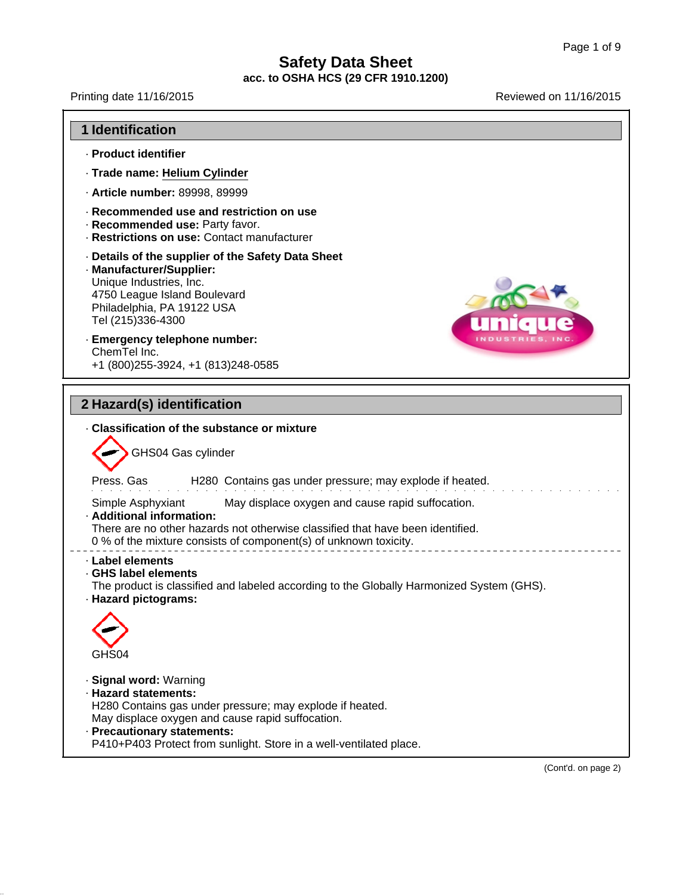Printing date 11/16/2015 Reviewed on 11/16/2015



(Cont'd. on page 2)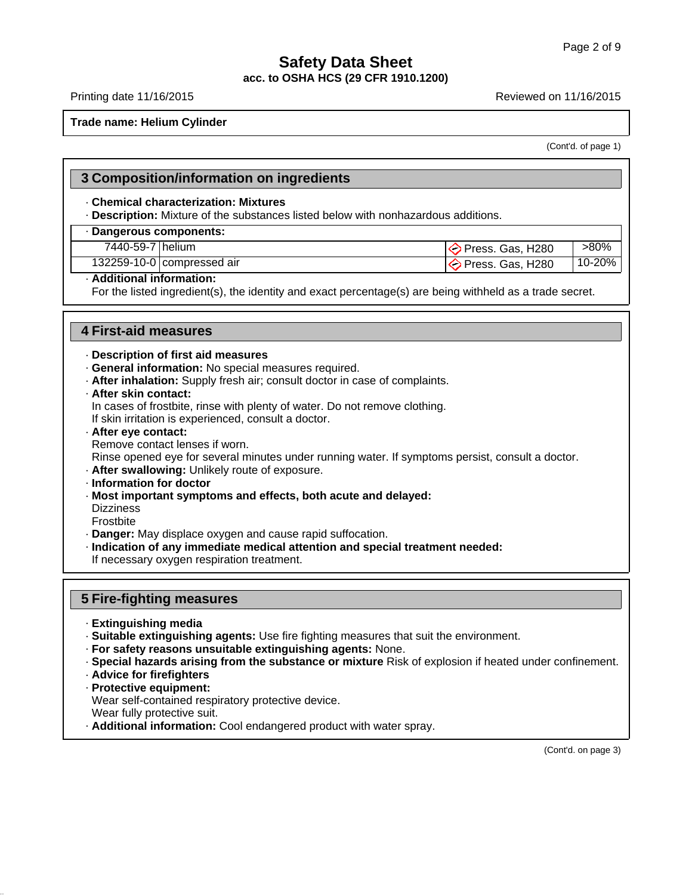# **Safety Data Sheet**

**acc. to OSHA HCS (29 CFR 1910.1200)**

Printing date 11/16/2015 Reviewed on 11/16/2015

**Trade name: Helium Cylinder**

(Cont'd. of page 1)

| 3 Composition/information on ingredients                                                                                                                                                                                                   |                                                                                                                                                                                       |                    |         |  |
|--------------------------------------------------------------------------------------------------------------------------------------------------------------------------------------------------------------------------------------------|---------------------------------------------------------------------------------------------------------------------------------------------------------------------------------------|--------------------|---------|--|
| . Chemical characterization: Mixtures<br>. Description: Mixture of the substances listed below with nonhazardous additions.                                                                                                                |                                                                                                                                                                                       |                    |         |  |
| · Dangerous components:                                                                                                                                                                                                                    |                                                                                                                                                                                       |                    |         |  |
| 7440-59-7 helium                                                                                                                                                                                                                           |                                                                                                                                                                                       | ◆ Press. Gas, H280 | $>80\%$ |  |
|                                                                                                                                                                                                                                            | 132259-10-0 compressed air                                                                                                                                                            | ◆ Press. Gas, H280 | 10-20%  |  |
| · Additional information:<br>For the listed ingredient(s), the identity and exact percentage(s) are being withheld as a trade secret.                                                                                                      |                                                                                                                                                                                       |                    |         |  |
| <b>4 First-aid measures</b><br>Description of first aid measures<br>· General information: No special measures required.                                                                                                                   |                                                                                                                                                                                       |                    |         |  |
| . After inhalation: Supply fresh air; consult doctor in case of complaints.<br>- After skin contact:<br>In cases of frostbite, rinse with plenty of water. Do not remove clothing.<br>If skin irritation is experienced, consult a doctor. |                                                                                                                                                                                       |                    |         |  |
| · After eye contact:<br>· Information for doctor                                                                                                                                                                                           | Remove contact lenses if worn.<br>Rinse opened eye for several minutes under running water. If symptoms persist, consult a doctor.<br>. After swallowing: Unlikely route of exposure. |                    |         |  |

- · **Most important symptoms and effects, both acute and delayed:**
- **Dizziness**
- Frostbite
- · **Danger:** May displace oxygen and cause rapid suffocation.
- · **Indication of any immediate medical attention and special treatment needed:**
- If necessary oxygen respiration treatment.

#### **5 Fire-fighting measures**

- · **Extinguishing media**
- · **Suitable extinguishing agents:** Use fire fighting measures that suit the environment.
- · **For safety reasons unsuitable extinguishing agents:** None.
- · **Special hazards arising from the substance or mixture** Risk of explosion if heated under confinement.
- · **Advice for firefighters**
- · **Protective equipment:**

Wear self-contained respiratory protective device.

- Wear fully protective suit.
- · **Additional information:** Cool endangered product with water spray.

(Cont'd. on page 3)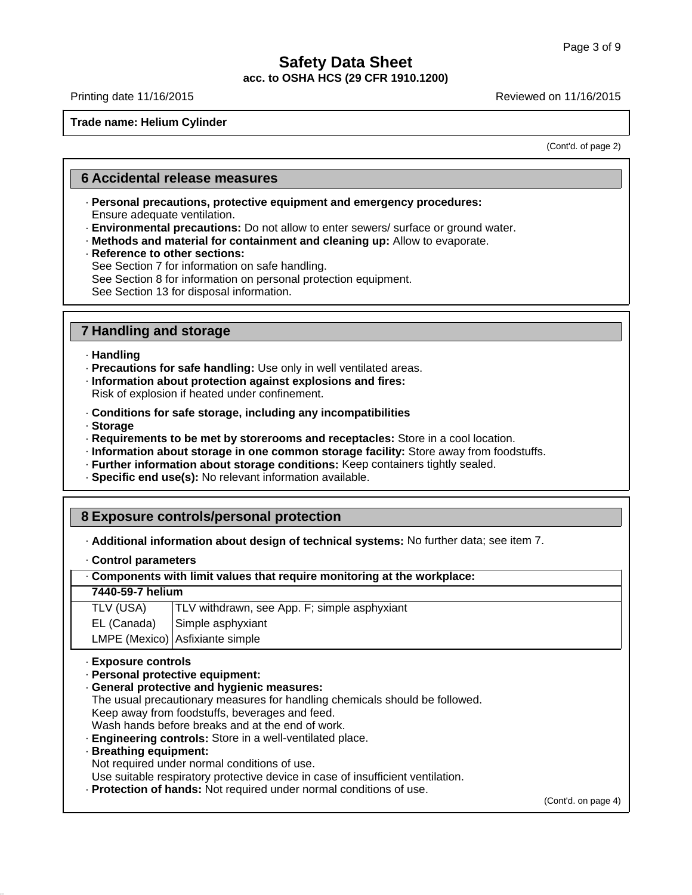# **Safety Data Sheet**

**acc. to OSHA HCS (29 CFR 1910.1200)**

Printing date 11/16/2015 Reviewed on 11/16/2015

**Trade name: Helium Cylinder**

(Cont'd. of page 2)

#### **6 Accidental release measures**

- · **Personal precautions, protective equipment and emergency procedures:** Ensure adequate ventilation.
- · **Environmental precautions:** Do not allow to enter sewers/ surface or ground water.
- · **Methods and material for containment and cleaning up:** Allow to evaporate.
- · **Reference to other sections:**
- See Section 7 for information on safe handling.
- See Section 8 for information on personal protection equipment.
- See Section 13 for disposal information.

### **7 Handling and storage**

- · **Handling**
- · **Precautions for safe handling:** Use only in well ventilated areas.
- · **Information about protection against explosions and fires:**

Risk of explosion if heated under confinement.

- · **Conditions for safe storage, including any incompatibilities**
- · **Storage**
- · **Requirements to be met by storerooms and receptacles:** Store in a cool location.
- · **Information about storage in one common storage facility:** Store away from foodstuffs.
- · **Further information about storage conditions:** Keep containers tightly sealed.
- · **Specific end use(s):** No relevant information available.

### **8 Exposure controls/personal protection**

- · **Additional information about design of technical systems:** No further data; see item 7.
- · **Control parameters**

| . Components with limit values that require monitoring at the workplace:                                                                    |                                                     |  |  |
|---------------------------------------------------------------------------------------------------------------------------------------------|-----------------------------------------------------|--|--|
| 7440-59-7 helium                                                                                                                            |                                                     |  |  |
| TLV (USA)                                                                                                                                   | <b>TLV withdrawn, see App. F; simple asphyxiant</b> |  |  |
| EL (Canada)                                                                                                                                 | Simple asphyxiant                                   |  |  |
|                                                                                                                                             | LMPE (Mexico) Asfixiante simple                     |  |  |
| · Exposure controls<br>· Personal protective equipment:                                                                                     |                                                     |  |  |
| · General protective and hygienic measures:                                                                                                 |                                                     |  |  |
| The usual precautionary measures for handling chemicals should be followed.                                                                 |                                                     |  |  |
| Keep away from foodstuffs, beverages and feed.<br>A A $I$ is a function of the contracted by the contracted by a set of $I$ and $I$ and $I$ |                                                     |  |  |

Wash hands before breaks and at the end of work.

- · **Engineering controls:** Store in a well-ventilated place.
- · **Breathing equipment:**

Not required under normal conditions of use.

Use suitable respiratory protective device in case of insufficient ventilation.

· **Protection of hands:** Not required under normal conditions of use.

(Cont'd. on page 4)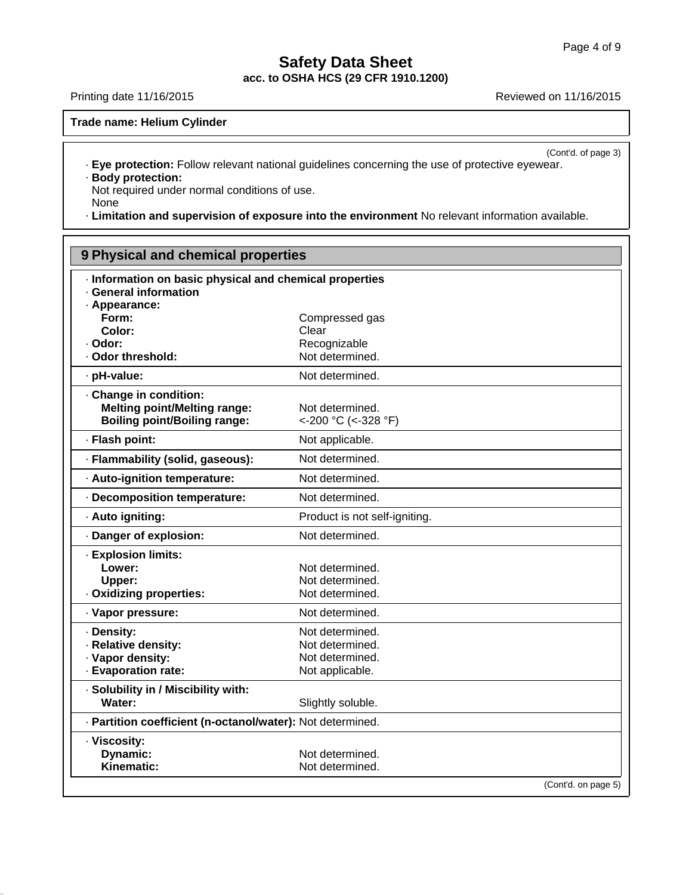Printing date 11/16/2015 **Reviewed on 11/16/2015** 

#### **Trade name: Helium Cylinder**

(Cont'd. of page 3)

· **Eye protection:** Follow relevant national guidelines concerning the use of protective eyewear. · **Body protection:**

Not required under normal conditions of use. None

· **Limitation and supervision of exposure into the environment** No relevant information available.

| 9 Physical and chemical properties                                                              |                               |  |
|-------------------------------------------------------------------------------------------------|-------------------------------|--|
| Information on basic physical and chemical properties<br>· General information<br>· Appearance: |                               |  |
| Form:                                                                                           |                               |  |
| Color:                                                                                          | Compressed gas<br>Clear       |  |
| · Odor:                                                                                         | Recognizable                  |  |
| Odor threshold:                                                                                 | Not determined.               |  |
| · pH-value:                                                                                     | Not determined.               |  |
|                                                                                                 |                               |  |
| Change in condition:<br><b>Melting point/Melting range:</b>                                     | Not determined.               |  |
| <b>Boiling point/Boiling range:</b>                                                             | <-200 °C (<-328 °F)           |  |
|                                                                                                 |                               |  |
| · Flash point:                                                                                  | Not applicable.               |  |
| · Flammability (solid, gaseous):                                                                | Not determined.               |  |
| · Auto-ignition temperature:                                                                    | Not determined.               |  |
| Decomposition temperature:                                                                      | Not determined.               |  |
| · Auto igniting:                                                                                | Product is not self-igniting. |  |
| · Danger of explosion:                                                                          | Not determined.               |  |
| · Explosion limits:                                                                             |                               |  |
| Lower:                                                                                          | Not determined.               |  |
| Upper:                                                                                          | Not determined.               |  |
| Oxidizing properties:                                                                           | Not determined.               |  |
| · Vapor pressure:                                                                               | Not determined.               |  |
| · Density:                                                                                      | Not determined.               |  |
| · Relative density:                                                                             | Not determined.               |  |
| · Vapor density:                                                                                | Not determined.               |  |
| · Evaporation rate:                                                                             | Not applicable.               |  |
| · Solubility in / Miscibility with:                                                             |                               |  |
| Water:                                                                                          | Slightly soluble.             |  |
| · Partition coefficient (n-octanol/water): Not determined.                                      |                               |  |
| · Viscosity:                                                                                    |                               |  |
| Dynamic:                                                                                        | Not determined.               |  |
| Kinematic:                                                                                      | Not determined.               |  |
|                                                                                                 | (Cont'd. on page 5)           |  |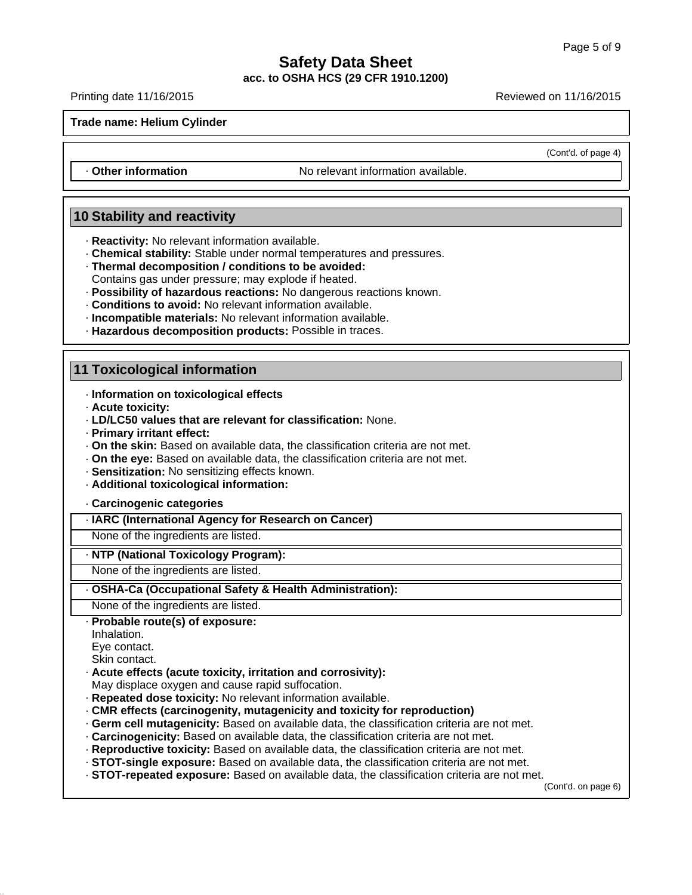Printing date 11/16/2015 Reviewed on 11/16/2015

**Trade name: Helium Cylinder**

(Cont'd. of page 4)

· **Other information** No relevant information available.

### **10 Stability and reactivity**

- · **Reactivity:** No relevant information available.
- · **Chemical stability:** Stable under normal temperatures and pressures.
- · **Thermal decomposition / conditions to be avoided:**
- Contains gas under pressure; may explode if heated.
- · **Possibility of hazardous reactions:** No dangerous reactions known.
- · **Conditions to avoid:** No relevant information available.
- · **Incompatible materials:** No relevant information available.
- · **Hazardous decomposition products:** Possible in traces.

#### **11 Toxicological information**

- · **Information on toxicological effects**
- · **Acute toxicity:**
- · **LD/LC50 values that are relevant for classification:** None.
- · **Primary irritant effect:**
- · **On the skin:** Based on available data, the classification criteria are not met.
- · **On the eye:** Based on available data, the classification criteria are not met.
- · **Sensitization:** No sensitizing effects known.
- · **Additional toxicological information:**
- · **Carcinogenic categories**

#### · **IARC (International Agency for Research on Cancer)**

None of the ingredients are listed.

#### · **NTP (National Toxicology Program):**

None of the ingredients are listed.

#### · **OSHA-Ca (Occupational Safety & Health Administration):**

None of the ingredients are listed.

- · **Probable route(s) of exposure:**
- Inhalation.
- Eye contact.

Skin contact.

- · **Acute effects (acute toxicity, irritation and corrosivity):**
- May displace oxygen and cause rapid suffocation.
- · **Repeated dose toxicity:** No relevant information available.
- · **CMR effects (carcinogenity, mutagenicity and toxicity for reproduction)**
- · **Germ cell mutagenicity:** Based on available data, the classification criteria are not met.
- · **Carcinogenicity:** Based on available data, the classification criteria are not met.
- · **Reproductive toxicity:** Based on available data, the classification criteria are not met.
- · **STOT-single exposure:** Based on available data, the classification criteria are not met.
- · **STOT-repeated exposure:** Based on available data, the classification criteria are not met.

(Cont'd. on page 6)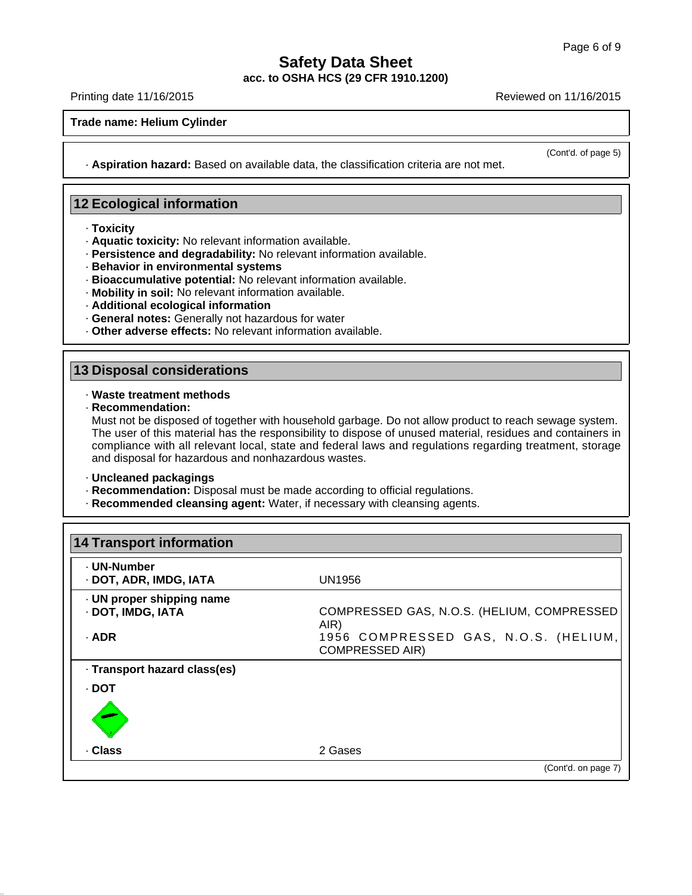· **Aspiration hazard:** Based on available data, the classification criteria are not met.

Printing date 11/16/2015 Reviewed on 11/16/2015

**Trade name: Helium Cylinder**

(Cont'd. of page 5)

# **12 Ecological information**

- · **Toxicity**
- · **Aquatic toxicity:** No relevant information available.
- · **Persistence and degradability:** No relevant information available.
- · **Behavior in environmental systems**
- · **Bioaccumulative potential:** No relevant information available.
- · **Mobility in soil:** No relevant information available.
- · **Additional ecological information**
- · **General notes:** Generally not hazardous for water
- · **Other adverse effects:** No relevant information available.

#### **13 Disposal considerations**

#### · **Waste treatment methods**

· **Recommendation:**

Must not be disposed of together with household garbage. Do not allow product to reach sewage system. The user of this material has the responsibility to dispose of unused material, residues and containers in compliance with all relevant local, state and federal laws and regulations regarding treatment, storage and disposal for hazardous and nonhazardous wastes.

#### · **Uncleaned packagings**

- · **Recommendation:** Disposal must be made according to official regulations.
- · **Recommended cleansing agent:** Water, if necessary with cleansing agents.

| · UN-Number<br>· DOT, ADR, IMDG, IATA | UN1956                                                         |
|---------------------------------------|----------------------------------------------------------------|
| · UN proper shipping name             |                                                                |
| · DOT, IMDG, IATA                     | COMPRESSED GAS, N.O.S. (HELIUM, COMPRESSED<br>AIR)             |
| · ADR                                 | 1956 COMPRESSED GAS, N.O.S. (HELIUM,<br><b>COMPRESSED AIR)</b> |
| · Transport hazard class(es)          |                                                                |
| · DOT                                 |                                                                |
|                                       |                                                                |
| · Class                               | 2 Gases                                                        |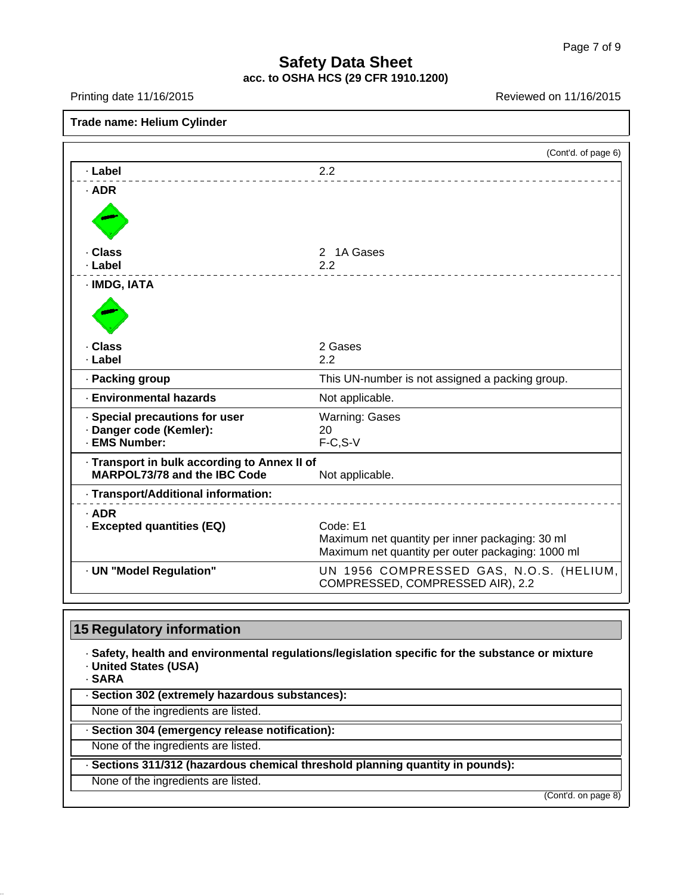Printing date 11/16/2015 **Reviewed on 11/16/2015** 

|                                                                                     | (Cont'd. of page 6)                                                                                              |
|-------------------------------------------------------------------------------------|------------------------------------------------------------------------------------------------------------------|
| · Label                                                                             | 2.2                                                                                                              |
| $·$ ADR                                                                             |                                                                                                                  |
|                                                                                     |                                                                                                                  |
| · Class                                                                             | 2 1A Gases                                                                                                       |
| · Label                                                                             | 2.2                                                                                                              |
| · IMDG, IATA                                                                        |                                                                                                                  |
|                                                                                     |                                                                                                                  |
| · Class                                                                             | 2 Gases                                                                                                          |
| · Label                                                                             | 2.2                                                                                                              |
| · Packing group                                                                     | This UN-number is not assigned a packing group.                                                                  |
| <b>Environmental hazards</b>                                                        | Not applicable.                                                                                                  |
| · Special precautions for user                                                      | <b>Warning: Gases</b>                                                                                            |
| Danger code (Kemler):                                                               | 20                                                                                                               |
| · EMS Number:                                                                       | $F-C, S-V$                                                                                                       |
| · Transport in bulk according to Annex II of<br><b>MARPOL73/78 and the IBC Code</b> | Not applicable.                                                                                                  |
| · Transport/Additional information:                                                 |                                                                                                                  |
| $·$ ADR                                                                             |                                                                                                                  |
| - Excepted quantities (EQ)                                                          | Code: E1<br>Maximum net quantity per inner packaging: 30 ml<br>Maximum net quantity per outer packaging: 1000 ml |
| · UN "Model Regulation"                                                             | UN 1956 COMPRESSED GAS, N.O.S. (HELIUM,<br>COMPRESSED, COMPRESSED AIR), 2.2                                      |

# **15 Regulatory information**

- · **Safety, health and environmental regulations/legislation specific for the substance or mixture** · **United States (USA)**
- · **SARA**
- · **Section 302 (extremely hazardous substances):**
- None of the ingredients are listed.
- · **Section 304 (emergency release notification):**
- None of the ingredients are listed.
- · **Sections 311/312 (hazardous chemical threshold planning quantity in pounds):**
- None of the ingredients are listed.

(Cont'd. on page 8)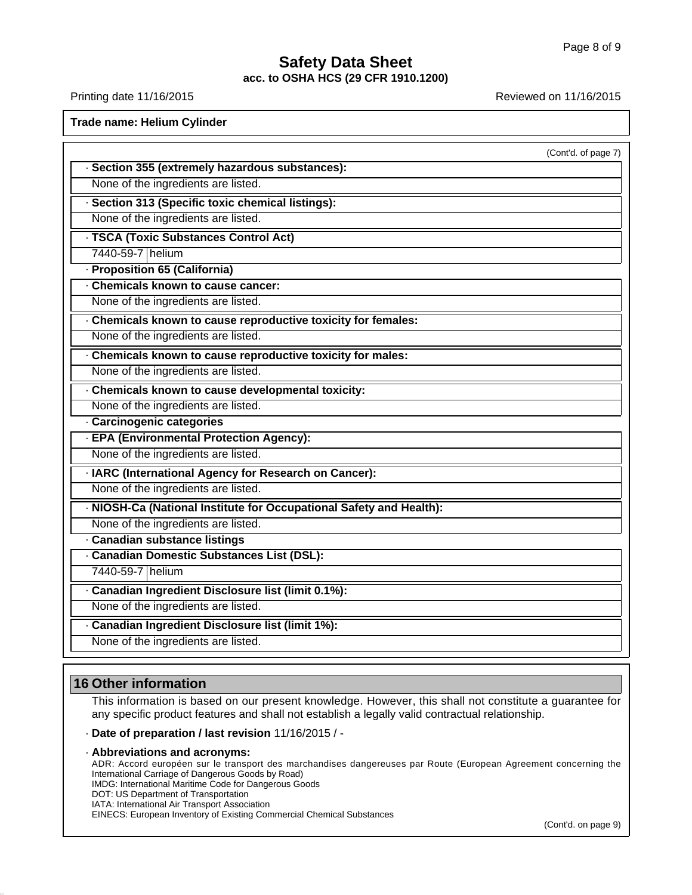# **Safety Data Sheet**

**acc. to OSHA HCS (29 CFR 1910.1200)** Printing date 11/16/2015 **Reviewed on 11/16/2015** 

| Trade name: Helium Cylinder                                         |                     |
|---------------------------------------------------------------------|---------------------|
|                                                                     | (Cont'd. of page 7) |
| · Section 355 (extremely hazardous substances):                     |                     |
| None of the ingredients are listed.                                 |                     |
| · Section 313 (Specific toxic chemical listings):                   |                     |
| None of the ingredients are listed.                                 |                     |
| · TSCA (Toxic Substances Control Act)                               |                     |
| 7440-59-7 helium                                                    |                     |
| · Proposition 65 (California)                                       |                     |
| . Chemicals known to cause cancer:                                  |                     |
| None of the ingredients are listed.                                 |                     |
| · Chemicals known to cause reproductive toxicity for females:       |                     |
| None of the ingredients are listed.                                 |                     |
| . Chemicals known to cause reproductive toxicity for males:         |                     |
| None of the ingredients are listed.                                 |                     |
| · Chemicals known to cause developmental toxicity:                  |                     |
| None of the ingredients are listed.                                 |                     |
| Carcinogenic categories                                             |                     |
| · EPA (Environmental Protection Agency):                            |                     |
| None of the ingredients are listed.                                 |                     |
| · IARC (International Agency for Research on Cancer):               |                     |
| None of the ingredients are listed.                                 |                     |
| · NIOSH-Ca (National Institute for Occupational Safety and Health): |                     |
| None of the ingredients are listed.                                 |                     |
| · Canadian substance listings                                       |                     |
| - Canadian Domestic Substances List (DSL):                          |                     |
| 7440-59-7 helium                                                    |                     |
| · Canadian Ingredient Disclosure list (limit 0.1%):                 |                     |
| None of the ingredients are listed.                                 |                     |
| · Canadian Ingredient Disclosure list (limit 1%):                   |                     |
| None of the ingredients are listed.                                 |                     |

# **16 Other information**

This information is based on our present knowledge. However, this shall not constitute a guarantee for any specific product features and shall not establish a legally valid contractual relationship.

· **Date of preparation / last revision** 11/16/2015 / -

· **Abbreviations and acronyms:** ADR: Accord européen sur le transport des marchandises dangereuses par Route (European Agreement concerning the International Carriage of Dangerous Goods by Road) IMDG: International Maritime Code for Dangerous Goods DOT: US Department of Transportation IATA: International Air Transport Association EINECS: European Inventory of Existing Commercial Chemical Substances

(Cont'd. on page 9)